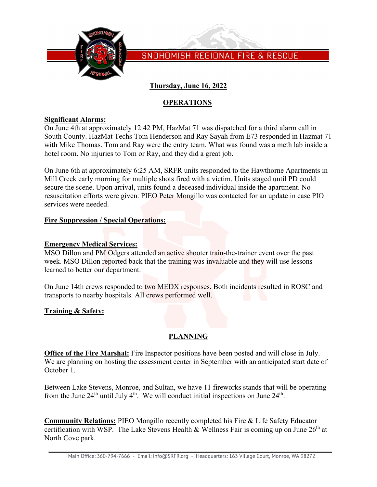

SNOHOMISH REGIONAL FIRE & RESCUE

# **Thursday, June 16, 2022**

## **OPERATIONS**

### **Significant Alarms:**

On June 4th at approximately 12:42 PM, HazMat 71 was dispatched for a third alarm call in South County. HazMat Techs Tom Henderson and Ray Sayah from E73 responded in Hazmat 71 with Mike Thomas. Tom and Ray were the entry team. What was found was a meth lab inside a hotel room. No injuries to Tom or Ray, and they did a great job.

On June 6th at approximately 6:25 AM, SRFR units responded to the Hawthorne Apartments in Mill Creek early morning for multiple shots fired with a victim. Units staged until PD could secure the scene. Upon arrival, units found a deceased individual inside the apartment. No resuscitation efforts were given. PIEO Peter Mongillo was contacted for an update in case PIO services were needed.

### **Fire Suppression / Special Operations:**

### **Emergency Medical Services:**

MSO Dillon and PM Odgers attended an active shooter train-the-trainer event over the past week. MSO Dillon reported back that the training was invaluable and they will use lessons learned to better our department.

On June 14th crews responded to two MEDX responses. Both incidents resulted in ROSC and transports to nearby hospitals. All crews performed well.

## **Training & Safety:**

# **PLANNING**

**Office of the Fire Marshal:** Fire Inspector positions have been posted and will close in July. We are planning on hosting the assessment center in September with an anticipated start date of October 1.

Between Lake Stevens, Monroe, and Sultan, we have 11 fireworks stands that will be operating from the June  $24<sup>th</sup>$  until July  $4<sup>th</sup>$ . We will conduct initial inspections on June  $24<sup>th</sup>$ .

**Community Relations:** PIEO Mongillo recently completed his Fire & Life Safety Educator certification with WSP. The Lake Stevens Health & Wellness Fair is coming up on June  $26<sup>th</sup>$  at North Cove park.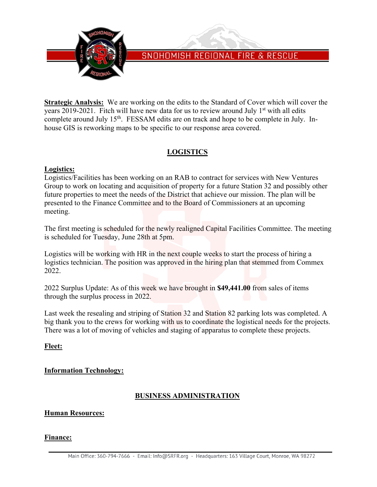

# SNOHOMISH REGIONAL FIRE & RESCUE

**Strategic Analysis:** We are working on the edits to the Standard of Cover which will cover the years 2019-2021. Fitch will have new data for us to review around July  $1<sup>st</sup>$  with all edits complete around July 15<sup>th</sup>. FESSAM edits are on track and hope to be complete in July. Inhouse GIS is reworking maps to be specific to our response area covered.

# **LOGISTICS**

### **Logistics:**

Logistics/Facilities has been working on an RAB to contract for services with New Ventures Group to work on locating and acquisition of property for a future Station 32 and possibly other future properties to meet the needs of the District that achieve our mission. The plan will be presented to the Finance Committee and to the Board of Commissioners at an upcoming meeting.

The first meeting is scheduled for the newly realigned Capital Facilities Committee. The meeting is scheduled for Tuesday, June 28th at 5pm.

Logistics will be working with HR in the next couple weeks to start the process of hiring a logistics technician. The position was approved in the hiring plan that stemmed from Commex 2022.

2022 Surplus Update: As of this week we have brought in **\$49,441.00** from sales of items through the surplus process in 2022.

Last week the resealing and striping of Station 32 and Station 82 parking lots was completed. A big thank you to the crews for working with us to coordinate the logistical needs for the projects. There was a lot of moving of vehicles and staging of apparatus to complete these projects.

## **Fleet:**

## **Information Technology:**

## **BUSINESS ADMINISTRATION**

#### **Human Resources:**

#### **Finance:**